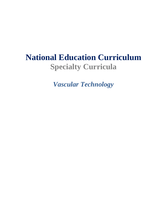# **National Education Curriculum Specialty Curricula**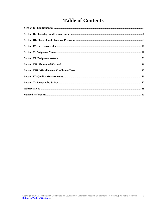# **Table of Contents**

<span id="page-1-0"></span>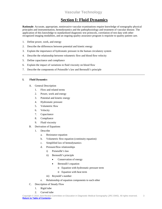# **Section I: Fluid Dynamics**

<span id="page-2-0"></span>**Rationale**: Accurate, appropriate, noninvasive vascular examinations require knowledge of sonography physical principles and instrumentation, hemodynamics and the pathophysiology and treatment of vascular disease. The application of this knowledge to standardized diagnostic test protocols, correlation of test data with other recognized imaging modalities, and an ongoing quality assurance program is requisite to quality patient care.

- 1. Define power, work, and energy
- 2. Describe the differences between potential and kinetic energy
- 3. Explain the importance of hydrostatic pressure in the human circulatory system
- 4. Describe the relationship between volumetric flow and blood flow velocity
- 5. Define capacitance and compliance
- 6. Explain the impact of variations in fluid viscosity on blood flow
- 7. Describe the components of Poiseuille's law and Bernoulli's principle

#### **I. Fluid Dynamics**

- A. General Description
	- 1. Flow and related terms
	- 2. Power, work and energy
	- 3. Potential and kinetic energy
	- 4. Hydrostatic pressure
	- 5. Volumetric flow
	- 6. Velocity
	- 7. Capacitance
	- 8. Compliance
	- 9. Fluid viscosity
- B. Derivation of Equations
	- 1. Describe
		- a. Resistance equation
		- b. Volumetric flow equation (continuity equation)
		- c. Simplified law of hemodynamics
		- d. Pressure/flow relationships
			- i) Poiseuille's law
			- ii) Bernoulli's principle
				- Conservation of energy
				- Bernoulli's equation
					- o Equation with hydrostatic pressure term
					- o Equation with heat term
			- iii) Reynold's number
		- e. Relationship of equation components to each other
- C. Description of Steady Flow
	- 1. Rigid tube
	- 2. Curved tube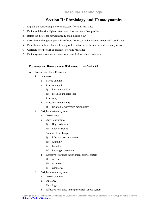# **Section II: Physiology and Hemodynamics**

- <span id="page-3-0"></span>1. Explain the relationship between pressure, flow and resistance
- 2. Define and describe high resistance and low resistance flow profiles
- 3. Relate the difference between steady and pulsatile flow
- 4. Describe the changes in pulsatility of flow that occur with vasoconstriction and vasodilation
- 5. Describe normal and abnormal flow profiles that occur in the arterial and venous systems
- 6. Correlate flow profiles to pressure, flow and resistance
- 7. Define systemic versus autoregulatory control of peripheral resistance

#### **II. Physiology and Hemodynamics (Pulmonary versus Systemic)**

- A. Pressure and Flow Resistance
	- 1. Left heart
		- a. Stroke volume
		- b. Cardiac output
			- i) Ejection fraction
			- ii) Pre-load and after-load
		- c. Cardiac cycle
		- d. Electrical conductivity
			- i) Relation to waveform morphology
	- 2. Peripheral arterial system
		- a. Vessel sizes
		- b. Arterial resistance
			- i) High resistance
			- ii) Low resistance
		- c. Volume flow changes
			- i) Effects of vessel diameter
			- ii) Anatomy
			- iii) Pathology
			- iv) End-organ perfusion
		- d. Effective resistance in peripheral arterial system
			- i) Arteries
			- ii) Arterioles
			- iii) Capillaries
	- 3. Peripheral venous system
		- a. Vessel diameter
		- b. Anatomy
		- c. Pathology
		- d. Effective resistance in the peripheral venous system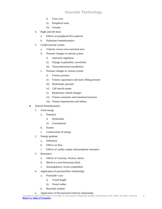- i) Vena cava
- ii) Peripheral veins
- iii) Venules
- 4. Right and left heart
	- a. Effects on peripheral flow patterns
	- b. Pulmonary hemodynamics
- 5. Cardiovascular system
	- a. Velocity versus cross-sectional area
	- b. Pressure changes in arterial system
		- i) Arteriolar regulation
		- ii) Change in pulsatility waveforms
		- iii) Vasoconstriction/vasodilation
	- c. Pressure changes in venous system
		- i) Venous pressure
		- ii) Venous capacitance and static filling pressure
		- iii) Hydrostatic pressure
		- iv) Calf muscle pump
		- v) Respiratory related changes
		- vi) Venous resistance and transmural pressure
		- vii) Venous hypertension and edema
- B. Arterial Hemodynamics
	- 1. Total energy
		- a. Potential
			- i) Hydrostatic
			- ii) Gravitational
		- b. Kinetic
		- c. Conservation of energy
	- 2. Energy gradient
		- a. Definition
		- b. Effects on flow
		- c. Effects of cardiac output and peripheral resistance
	- 3. Resistance
		- a. Effects of viscosity, friction, inertia
		- b. Blood in a non-Newtonian fluid
		- c. Autoregulatory versus sympathetic
	- 4. Application of pressure/flow relationship
		- a. Poiseuille's law
			- i) Vessel length
			- ii) Vessel radius
		- b. Reynolds number
	- 5. Application of flow/pressure/velocity relationship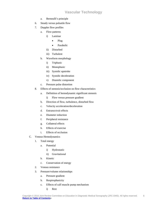- a. Bernoulli's principle
- 6. Steady versus pulsatile flow
- 7. Doppler flow profiles
	- a. Flow patterns
		- i) Laminar
			- Plug
			- Parabolic
		- ii) Disturbed
		- iii) Turbulent
	- b. Waveform morphology
		- i) Triphasic
		- ii) Monophasic
		- iii) Systolic upstroke
		- iv) Systolic deceleration
		- v) Diastolic component
	- c. Pressure pulse distortion
- 8. Effects of stenosis/occlusion on flow characteristics
	- a. Definition of hemodynamic significant stenosis
		- i) Flow versus pressure gradient
	- b. Direction of flow, turbulence, disturbed flow
	- c. Velocity acceleration/deceleration
	- d. Entrance/exit effects
	- e. Diameter reduction
	- f. Peripheral resistance
	- g. Collateral effects
	- h. Effects of exercise
	- i. Effects of occlusion
- C. Venous Hemodynamics
	- 1. Total energy
		- a. Potential
			- i) Hydrostatic
			- ii) Gravitational
		- b. Kinetic
		- c. Conservation of energy
	- 2. Venous resistance
	- 3. Pressure/volume relationships
		- a. Pressure gradient
		- b. Respirophasicity
		- c. Effects of calf muscle pump mechanism
			- i) Rest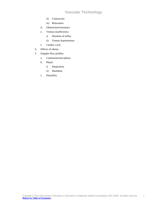- ii) Contraction
- iii) Relaxation
- d. Obstruction/resistance
- e. Venous insufficiency
	- i) Duration of reflux
	- ii) Venous hypertension
- f. Cardiac cycle
- 4. Effects of edema
- 5. Doppler flow profiles
	- a. Continuous/non-phasic
	- b. Phasic
		- i) Respiration
		- ii) Heartbeat
	- c. Pulsatility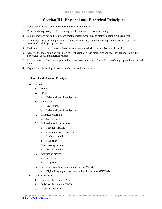### **Section III: Physical and Electrical Principles**

- <span id="page-7-0"></span>1. Relate the difference between ultrasound energy and power
- 2. Describe the types of graphic recording used in noninvasive vascular testing
- 3. Explain methods for calibrating sonographic imaging systems and plethysmographic instruments
- 4. Define alternating current (AC) versus direct current (DC) coupling, and explain the potential artifacts associated with inappropriate use
- 5. Understand the most common units of measure associated with noninvasive vascular testing
- 6. Describe the most common tests used for evaluation of tissue mechanics and pressure transmission in the peripheral venous and arterial systems
- 7. List the types of plethysmography and pressure assessments used for evaluation of the peripheral arteries and veins
- 8. Explain the relationship between Ohm's Law and hemodynamics

#### **III. Physical and Electrical Principles**

- A. General
	- 1. Energy
	- 2. Power
		- a. Relationship to flow dynamics
	- 3. Ohm's Law
		- a. Description
		- b. Relationship to flow dynamics
	- 4. Graphical recording
		- a. Sweep speed
	- 5. Calibration and optimization
		- a. Spectral Analysis
		- b. Continuous wave Doppler
		- c. Plethysmographs
		- d. Strip chart
	- 6. Zero-crossing detector
		- a. AC/DC coupling
	- 7. Information displays
		- a. Monitors
		- b. Strip chart
	- 8. Picture archiving communication system (PACS)
		- a. Digital imaging and communications in medicine (DICOM)
- B. Units of Measure
	- 1. Peak-systolic velocity (PSV)
	- 2. End-diastolic velocity (EDV)
	- 3. Pulsatility index (PI)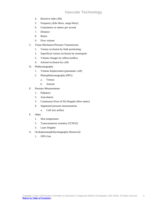- 4. Resistive index (RI)
- 5. Frequency (kilo Hertz, mega Hertz)
- 6. Centimeters or meters per second
- 7. Distance
- 8. Ratios
- 9. Flow volume
- C. Tissue Mechanics/Pressure Transmission
	- 1. Venous occlusion by limb positioning
	- 2. Superficial venous occlusion by tourniquets
	- 3. Volume changes by inflow/outflow
	- 4. Arterial occlusion by cuffs
- D. Plethysmography
	- 1. Volume displacement (pneumatic cuff)
	- 2. Photoplethysmography (PPG)
		- a. Venous
		- b. Arterial
- E. Pressure Measurements
	- 1. Palpatory
	- 2. Ausculatory
	- 3. Continuous Wave (CW)-Doppler (flow meter)
	- 4. Segmental pressure measurements
		- a. Cuff size artifact
- F. Other
	- 1. Skin temperature
	- 2. Transcutaneous oximetry (TCPO2)
	- 3. Laser Doppler
- G. Oculopneumoplethysmography (historical)
	- 1. OPG-Gee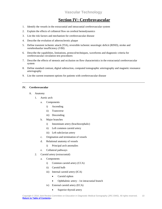### **Section IV: Cerebrovascular**

- <span id="page-9-0"></span>1. Identify the vessels in the extracranial and intracranial cerebrovascular system
- 2. Explain the effects of collateral flow on cerebral hemodynamics
- 3. List the risk factors and mechanism for cerebrovascular disease
- 4. Describe the evolution of atherosclerotic plaque
- 5. Define transient ischemic attack (TIA), reversible ischemic neurologic deficit (RIND), stroke and vertebrobasilar insufficiency (VBI)
- 6. Describe the capabilities, limitations, protocol/techniques, waveforms and diagnostic criteria for cerebrovascular circulation test procedures
- 7. Describe the effects of stenosis and occlusion on flow characteristics in the extracranial cerebrovascular system
- 8. Define standard contrast, digital subtraction, computed tomographic arteriography and magnetic resonance arteriography
- 9. List the current treatment options for patients with cerebrovascular disease

#### **IV. Cerebrovascular**

- A. Anatomy
	- 1. Aortic arch
		- a. Components
			- i) Ascending
			- ii) Transverse
			- iii) Descending
		- b. Major branches
			- i) Innominate artery (brachiocephalic)
			- ii) Left common carotid artery
			- iii) Left subclavian artery
		- c. Origination and termination of vessels
		- d. Relational anatomy of vessels
			- i) Principal arch anomalies
		- e. Collateral pathways
	- 2. Carotid artery (extracranial)
		- a. Components
			- i) Common carotid artery (CCA)
			- ii) Carotid bulb
			- iii) Internal carotid artery (ICA)
				- Carotid siphon
				- Ophthalmic artery 1st intracranial branch
			- iv) External carotid artery (ECA)
				- Superior thyroid artery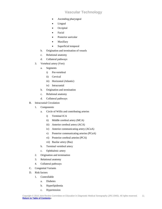- Ascending pharyngeal
- Lingual
- **Occipital**
- Facial
- Posterior auricular
- **Maxillary**
- Superficial temporal
- b. Origination and termination of vessels
- c. Relational anatomy
- d. Collateral pathways
- 3. Vertebral artery (Vert)
	- a. Segments
		- i) Pre-vertebral
		- ii) Cervical
		- iii) Horizontal (Atlantic)
		- iv) Intracranial
	- b. Origination and termination
	- c. Relational anatomy
	- d. Collateral pathways
- B. Intracranial Circulation
	- 1. Components
		- a. Circle of Willis and contributing arteries
			- i) Terminal ICA
			- ii) Middle cerebral artery (MCA)
			- iii) Anterior cerebral artery (ACA)
			- iv) Anterior communicating artery (ACoA)
			- v) Posterior communicating arteries (PCoA)
			- vi) Posterior cerebral arteries (PCA)
			- vii) Basilar artery (Bas)
		- b. Terminal vertebral artery
		- c. Ophthalmic artery
	- 2. Origination and termination
	- 3. Relational anatomy
	- 4. Collateral pathways
- C. Congenital Variants
- D. Risk factors
	- 1. Controllable
		- a. Diabetes
		- b. Hyperlipidemia
		- c. Hypertension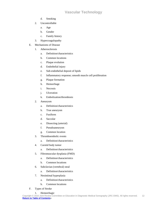- d. Smoking
- 2. Uncontrollable
	- a. Age
	- b. Gender
	- c. Family history
- 3. Hypercoagulopathy
- E. Mechanisms of Disease
	- 1. Atherosclerosis
		- a. Definition/characteristics
		- b. Common locations
		- c. Plaque evolution
		- d. Endothelial injury
		- e. Sub-endothelial deposit of lipids
		- f. Inflammatory response; smooth muscle cell proliferation
		- g. Plaque formation
		- h. Hemorrhage
		- i. Necrosis
		- j. Ulceration
		- k. Embolization/thrombosis
	- 2. Aneurysm
		- a. Definition/characteristics
		- b. True aneurysm
		- c. Fusiform
		- d. Saccular
		- e. Dissecting (arterial)
		- f. Pseudoaneurysm
		- g. Common location
	- 3. Thromboembolic events
		- a. Definition/characteristics
	- 4. Carotid body tumor
		- a. Definition/characteristics
	- 5. Fibromuscular dysplasia (FMD)
		- a. Definition/characteristics
		- b. Common locations
	- 6. Subclavian (vertebral) steal
		- a. Definition/characteristics
	- 7. Neointimal hyperplasia
		- a. Definition/characteristics
		- b. Common locations
- F. Types of Stroke
	- 1. Hemorrhagic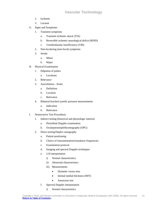- 2. Ischemic
- 3. Lacunar
- G. Signs and Symptoms
	- 1. Transient symptoms
		- a. Transient ischemic attack (TIA)
		- b. Reversible ischemic neurological deficit (RIND)
		- c. Vertebrobasilar insufficiency (VBI)
	- 2. Non-localizing (non-focal) symptoms
	- 3. Stroke
		- a. Minor
		- b. Major
- H. Physical Examination
	- 1. Palpation of pulses
		- a. Locations
	- 2. Relevance
	- 3. Auscultation bruits
		- a. Definition
		- b. Location
		- c. Relevance
	- 4. Bilateral brachial systolic pressure measurements
		- a. Indication
		- b. Relevance
- I. Noninvasive Test Procedures
	- 1. Indirect testing (historical and physiologic interest)
		- a. Periorbital Doppler examination
		- b. Oculopneumoplethysmography (OPG)
	- 2. Direct testing/Duplex sonography
		- a. Patient positioning
		- b. Choice of instrumentation/transducer frequencies
		- c. Examination protocol
		- d. Imaging and spectral Doppler techniques
		- e. 2-D interpretation
			- i) Normal characteristics
			- ii) Abnormal characteristics
			- iii) Measurements
				- Diameter versus area
				- Intimal medial thickness (IMT)
				- Aneurysm size
		- f. Spectral Doppler interpretation
			- i) Normal characteristics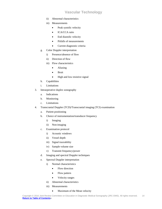- ii) Abnormal characteristics
- iii) Measurements
	- Peak systolic velocity
	- ICA/CCA ratio
	- End diastolic velocity
	- Pitfalls of measurements
	- Current diagnostic criteria
- g. Color Doppler interpretation
	- i) Presence/absence of flow
	- ii) Direction of flow
	- iii) Flow characteristics
		- Aliasing
		- Bruit
		- High and low resistive signal
- h. Capabilities
- i. Limitations
- 3. Intraoperative duplex sonography
	- a. Indications
	- b. Monitoring
	- c. Limitations
- 4. Transcranial Doppler (TCD)/Transcranial imaging (TCI) examination
	- a. Patient positioning
	- b. Choice of instrumentation/transducer frequency
		- i) Imaging
		- ii) Non-imaging
	- c. Examination protocol
		- i) Acoustic windows
		- ii) Vessel depth
		- iii) Signal traceability
		- iv) Sample volume size
		- v) Transmit frequency/power
	- d. Imaging and spectral Doppler techniques
	- e. Spectral Doppler interpretation
		- i) Normal characteristics
			- Flow direction
			- Flow pattern
			- Velocity ranges
		- ii) Abnormal characteristics
		- iii) Measurements
			- Maximum of the Mean velocity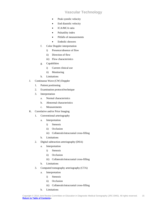- Peak systolic velocity
- End diastolic velocity
- ICA/MCA ratio
- Pulsatility index
- Pitfalls of measurements
- Embolic showers
- f. Color Doppler interpretation
	- i) Presence/absence of flow
	- ii) Direction of flow
	- iii) Flow characteristics
- g. Capabilities
	- i) Current clinical use
	- ii) Monitoring
- h. Limitations
- J. Continuous Wave (CW) Doppler
	- 1. Patient positioning
	- 2. Examination protocol/technique
	- 3. Interpretation
		- a. Normal characteristics
		- b. Abnormal characteristics
		- c. Measurements
- K. Correlative and/or Prior Imaging
	- 1. Conventional arteriography
		- a. Interpretation
			- i) Stenosis
			- ii) Occlusion
			- iii) Collaterals/intracranial cross-filling
		- b. Limitations
	- 2. Digital subtraction arteriography (DSA)
		- a. Interpretation
			- i) Stenosis
			- ii) Occlusion
			- iii) Collaterals/intracranial cross-filling
		- b. Limitations
	- 3. Computed tomography arteriography (CTA)
		- a. Interpretation
			- i) Stenosis
			- ii) Occlusion
			- iii) Collaterals/intracranial cross-filling
		- b. Limitations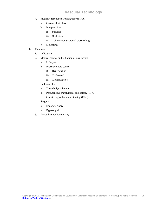- 4. Magnetic resonance arteriography (MRA)
	- a. Current clinical use
	- b. Interpretation
		- i) Stenosis
		- ii) Occlusion
		- iii) Collaterals/intracranial cross-filling
	- c. Limitations
- L. Treatment
	- 1. Indications
	- 2. Medical control and reduction of risk factors
		- a. Lifestyle
		- b. Pharmacologic control
			- i) Hypertension
			- ii) Cholesterol
			- iii) Clotting factors
	- 3. Endovascular
		- a. Thrombolytic therapy
		- b. Percutaneous transluminal angioplasty (PTA)
		- c. Carotid angioplasty and stenting (CAS)
	- 4. Surgical
		- a. Endarterectomy
		- b. Bypass graft
	- 5. Acute thrombolitic therapy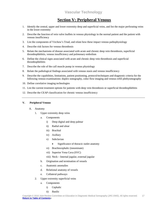### **Section V: Peripheral Venous**

- <span id="page-16-0"></span>1. Identify the central, upper and lower extremity deep and superficial veins, and list the major perforating veins in the lower extremity
- 2. Describe the function of vein valve leaflets in venous physiology in the normal patient and the patient with venous insufficiency
- 3. List the components of Virchow's Triad, and relate how these impact venous pathophysiology
- 4. Describe risk factors for venous thrombosis
- 5. Relate the mechanisms of disease associated with acute and chronic deep vein thrombosis, superficial thrombophlebitis, venous insufficiency and pulmonary embolism
- 6. Define the clinical signs associated with acute and chronic deep vein thrombosis and superficial thrombophlebitis
- 7. Describe the role of the calf muscle pump in venous physiology
- 8. Relate the pathological findings associated with venous stasis and venous insufficiency
- 9. Describe the capabilities, limitations, patient positioning, protocol/techniques and diagnostic criteria for the following venous examinations: duplex sonography, color flow imaging and venous refill plethysmography
- 10. Define correlative imaging technologies
- 11. List the current treatment options for patients with deep vein thrombosis or superficial thrombophlebitis
- 12. Describe the CEAP classification for chronic venous insufficiency

#### **V. Peripheral Venous**

#### A. Anatomy

- 1. Upper extremity deep veins
	- a. Components
		- i) Deep digital and deep palmar
		- ii) Radial and ulnar
		- iii) Brachial
		- iv) Axillary
		- v) Subclavian
			- Significance of thoracic outlet anatomy
		- vi) Brachiocephalic (innominate)
		- vii) Superior Vena Cava (SVC)
		- viii) Neck Internal jugular, external jugular
	- b. Origination and termination of vessels
	- c. Anatomic anomalies
	- d. Relational anatomy of vessels
	- e. Collateral pathways
- 2. Upper extremity superficial veins
	- a. Components
		- i) Cephalic
		- ii) Basilic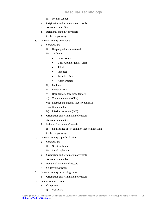- iii) Median cubital
- b. Origination and termination of vessels
- c. Anatomic anomalies
- d. Relational anatomy of vessels
- e. Collateral pathways
- 3. Lower extremity deep veins
	- a. Components
		- i) Deep digital and metatarsal
		- ii) Calf veins
			- Soleal veins
			- Gastrocnemius (sural) veins
			- Tibial
			- Peroneal
			- Posterior tibial
			- Anterior tibial
		- iii) Popliteal
		- iv) Femoral (FV)
		- v) Deep femoral (profunda femoris)
		- vi) Common femoral (CFV)
		- vii) External and internal iliac (hypogastric)
		- viii) Common iliac
		- ix) Inferior vena cava (IVC)
	- b. Origination and termination of vessels
	- c. Anatomic anomalies
	- d. Relational anatomy of vessels
		- i) Significance of left common iliac vein location
	- e. Collateral pathways
- 4. Lower extremity superficial veins
	- a. Components
		- i) Great saphenous
		- ii) Small saphenous
	- b. Origination and termination of vessels
	- c. Anatomic anomalies
	- d. Relational anatomy of vessels
	- e. Collateral pathways
- 5. Lower extremity perforating veins
	- a. Origination and termination of vessels
- 6. Central venous system
	- a. Components
		- i) Vena cava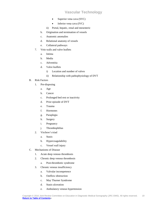- Superior vena cava (SVC)
- Inferior vena cava (IVC)
- ii) Portal, hepatic, renal and mesenteric
- b. Origination and termination of vessels
- c. Anatomic anomalies
- d. Relational anatomy of vessels
- e. Collateral pathways
- 7. Vein walls and valve leaflets
	- a. Intima
	- b. Media
	- c. Adventitia
	- d. Valve leaflets
		- i) Location and number of valves
		- ii) Relationship with pathophysiology of DVT
- B. Risk Factors
	- 1. Pre-disposing
		- a. Age
		- b. Cancer
		- c. Prolonged bed rest or inactivity
		- d. Prior episode of DVT
		- e. Trauma
		- f. Hormones
		- g. Paraplegia
		- h. Surgery
		- i. Pregnancy
		- j. Thrombophilias
	- 2. Virchow's triad
		- a. Stasis
		- b. Hypercoagulability
		- c. Vessel wall injury
- C. Mechanisms of Disease
	- 1. Acute deep venous thrombosis
	- 2. Chronic deep venous thrombosis
		- a. Post-thrombotic syndrome
	- 3. Chronic venous insufficiency
		- a. Valvular incompetence
		- b. Outflow obstruction
		- c. May Thurner Syndrome
		- d. Stasis ulceration
		- e. Ambulatory venous hypertension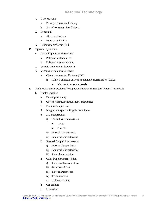- 4. Varicose veins
	- a. Primary venous insufficiency
	- b. Secondary venous insufficiency
- 5. Congenital
	- a. Absence of valves
	- b. Hypercoagulability
- 6. Pulmonary embolism (PE)
- D. Signs and Symptoms
	- 1. Acute deep venous thrombosis
		- a. Phlegmasia alba dolens
		- b. Phlegmasia cerula dolens
	- 2. Chronic deep venous thrombosis
	- 3. Venous ulceration/stasis ulcers
		- a. Chronic venous insufficiency (CVI)
			- i) Clinical etiologic anatomic pathologic classification (CEAP)
				- Venous ulcer, venous stasis
- E. Noninvasive Test Procedures for Upper and Lower Extremities Venous Thrombosis
	- 1. Duplex imaging
		- a. Patient positioning
		- b. Choice of instrument/transducer frequencies
		- c. Examination protocol
		- d. Imaging and spectral Doppler techniques
		- e. 2-D interpretation
			- i) Thrombus characteristics
				- Acute
				- Chronic
			- ii) Normal characteristics
			- iii) Abnormal characteristics
		- f. Spectral Doppler interpretation
			- i) Normal characteristics
			- ii) Abnormal characteristics
			- iii) Flow characteristics
		- g. Color Doppler interpretation
			- i) Presence/absence of flow
			- ii) Direction of flow
			- iii) Flow characteristics
			- iv) Recanalization
			- v) Collateralization
		- h. Capabilities
		- i. Limitations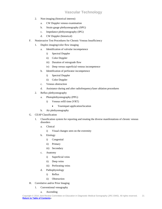- 2. Non-imaging (historical interest)
	- a. CW Doppler venous examination
	- b. Strain gauge plethysmography (SPG)
	- c. Impedance plethysmography (IPG)
	- d. CW Doppler (historical)
- F. Noninvasive Test Procedures for Chronic Venous Insufficiency
	- 1. Duplex imaging/color flow imaging
		- a. Identification of valvular incompetence
			- i) Spectral Doppler
			- ii) Color Doppler
			- iii) Duration of retrograde flow
			- iv) Deep versus superficial venous incompetence
		- b. Identification of perforator incompetence
			- i) Spectral Doppler
			- ii) Color Doppler
		- c. Venous obstruction
		- d. Assistance during and after radiofrequency/laser ablation procedures
	- 2. Reflux plethysmography
		- a. Photoplethysmography (PPG)
			- i) Venous refill time (VRT)
				- Tourniquet application/location
		- b. Air plethysmography
- G. CEAP Classification
	- 1. Classification system for reporting and treating the diverse manifestations of chronic venous disorders
		- a. Clinical
			- i) Visual changes seen on the extremity
		- b. Etiology
			- i) Congenital
			- ii) Primary
			- iii) Secondary
		- c. Anatomy
			- i) Superficial veins
			- ii) Deep veins
			- iii) Perforating veins
		- d. Pathophysiology
			- i) Reflux
			- ii) Obstruction
- H. Correlative and/or Prior Imaging
	- 1. Conventional venography
		- a. Ascending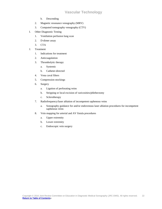- b. Descending
- 2. Magnetic resonance venography (MRV)
- 3. Computed tomography venography (CTV)
- I. Other Diagnostic Testing
	- 1. Ventilation perfusion lung scan
	- 2. D-dimer assay
	- 3. CTA
- J. Treatment
	- 1. Indications for treatment
	- 2. Anticoagulation
	- 3. Thrombolytic therapy
		- a. Systemic
		- b. Catheter-directed
	- 4. Vena caval filters
	- 5. Compression stockings
	- 6. Surgery
		- a. Ligation of perforating veins
		- b. Stripping or local excision of varicosities/phlebectomy
		- c. Sclerotherapy
	- 7. Radiofrequency/laser ablation of incompetent saphenous veins
		- a. Sonography guidance for and/or endovenous laser ablation procedures for incompetent saphenous veins
	- 8. Vein mapping for arterial and AV fistula procedures
		- a. Upper extremity
		- b. Lower extremity
		- c. Endoscopic vein surgery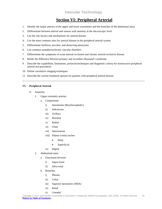### **Section VI: Peripheral Arterial**

- <span id="page-22-0"></span>1. Identify the major arteries of the upper and lower extremities and the branches of the abdominal aorta
- 2. Differentiate between arterial and venous wall anatomy at the microscopic level
- 3. List the risk factors and mechanisms for arterial disease
- 4. List the most common sites for arterial disease in the peripheral arterial system
- 5. Differentiate fusiform, saccular, and dissecting aneurysms
- 6. List common nonatherosclerotic vascular disorders
- 7. Differentiate the symptoms of acute arterial occlusion and chronic arterial occlusive disease
- 8. Relate the difference between primary and secondary Raynaud's syndrome
- 9. Describe the capabilities, limitations, protocols/techniques and diagnostic criteria for noninvasive peripheral arterial test procedures
- 10. Define correlative imaging techniques
- 11. Describe the current treatment options for patients with peripheral arterial disease

#### **VI. Peripheral Arterial**

- A. Anatomy
	- 1. Upper extremity arteries
		- a. Components
			- i) Innominate (Brachiocephalic)
			- ii) Subclavian
			- iii) Axillary
			- iv) Brachial
			- v) Radial
			- vi) Ulnar
			- vii) Interosseous
			- viii) Palmar (volar) arches
				- Deep
				- Superficial
			- ix) Digital
	- 2. Abdominal aorta
		- a. Functional division
			- i) Supra-renal
			- ii) Infra-renal
		- b. Branches
			- i) Phrenic
			- ii) Celiac
			- iii) Superior mesenteric (SMA)
			- iv) Renal
			- v) Gonadal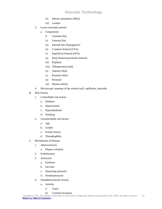- vi) Inferior mesenteric (IMA)
- vii) Lumbar
- 3. Lower extremity arteries
	- a. Components
		- i) Common iliac
		- ii) External iliac
		- iii) Internal iliac (hypogastric)
		- iv) Common femoral (CFA)
		- v) Superficial femoral (SFA)
		- vi) Deep femoral (profunda femoris)
		- vii) Popliteal
		- viii) Tibioperoneal trunk
		- ix) Anterior tibial
		- x) Posterior tibial
		- xi) Peroneal
		- xii) Plantar arteries
- 4. Microscopic anatomy of the arterial wall, capillaries, arterioles
- B. Risk Factors
	- 1. Controllable risk factors
		- a. Diabetes
		- b. Hypertension
		- c. Hyperlipidemia
		- d. Smoking
	- 2. Uncontrollable risk factors
		- a. Age
		- b. Gender
		- c. Family history
		- d. Thrombophilia
- C. Mechanisms of Disease
	- 1. Atherosclerosis
		- a. Plaque evolution
	- 2. Embolization
	- 3. Aneurysm
		- a. Fusiform
		- b. Saccular
		- c. Dissecting (arterial)
		- d. Pseudoaneurysm
	- 4. Nonatherosclerotic lesions
		- a. Arteritis
			- i) Types
			- ii) Common locations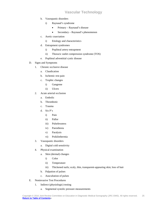- b. Vasospastic disorders
	- i) Raynaud's syndrome
		- Primary Raynaud's disease
		- Secondary Raynaud's phenomenon
- c. Aortic coarctation
	- i) Etiology and characteristics
- d. Entrapment syndromes
	- i) Popliteal artery entrapment
	- ii) Thoracic outlet compression syndrome (TOS)
- e. Popliteal adventitial cystic disease

#### D. Signs and Symptoms

- 1. Chronic occlusive disease
	- a. Claudication
	- b. Ischemic rest pain
	- c. Trophic changes
		- i) Gangrene
		- ii) Ulcers
- 2. Acute arterial occlusion
	- a. Embolic
	- b. Thrombotic
	- c. Trauma
	- d. Six P's
		- i) Pain
		- ii) Pallor
		- iii) Pulselessness
		- iv) Paresthesia
		- v) Paralysis
		- vi) Poikilothermia
- 3. Vasospastic disorders
	- a. Digital cold sensitivity
- 4. Physical examination
	- a. Skin (dermal) changes
		- i) Color
		- ii) Temperature
		- iii) Thickened nails; scaly, thin, transparent-appearing skin; loss of hair
	- b. Palpation of pulses
	- c. Auscultation of pulses
- E. Noninvasive Test Procedures
	- 1. Indirect (physiologic) testing
		- a. Segmental systolic pressure measurements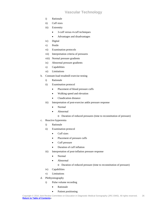- i) Rationale
- ii) Cuff sizes
- iii) Extremity
	- 3-cuff versus 4-cuff techniques
	- Advantages and disadvantages
- iv) Digital
- v) Penile
- vi) Examination protocols
- vii) Interpretation criteria of pressures
- viii) Normal pressure gradients
- ix) Abnormal pressure gradients
- x) Capabilities
- xi) Limitations
- b. Constant-load treadmill exercise testing
	- i) Rationale
	- ii) Examination protocol
		- Placement of blood pressure cuffs
		- Walking speed and elevation
		- Claudication distance
	- iii) Interpretation of post-exercise ankle pressure response
		- Normal
		- Abnormal
			- o Duration of reduced pressures (time to reconstitution of pressure)
- c. Reactive hyperemia
	- i) Rationale
	- ii) Examination protocol
		- Cuff sizes
		- Placement of pressure cuffs
		- Cuff pressure
		- Duration of cuff inflation
	- iii) Interpretation of post-inflation pressure response
		- Normal
		- Abnormal
			- o Duration of reduced pressure (time to reconstitution of pressure)
	- iv) Capabilities
	- v) Limitations
- d. Plethysmography
	- i) Pulse volume recording
		- Rationale
		- Patient positioning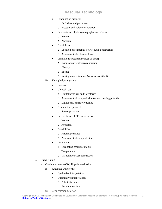- **Examination protocol** 
	- o Cuff sizes and placement
	- o Pressure and volume calibration
- Interpretation of plethysmographic waveforms
	- o Normal
	- o Abnormal
- **Capabilities** 
	- o Location of segmental flow-reducing obstruction
	- o Assessment of collateral flow
- Limitations (potential sources of error)
	- o Inappropriate cuff size/calibration
	- o Obesity
	- o Edema
	- o Resting muscle tremors (waveform artifact)
- ii) Photoplethysmography
	- **Rationale**
	- Clinical uses
		- o Digital pressures and waveforms
		- o Assessment of skin perfusion (wound healing potential)
		- o Digital cold sensitivity testing
	- **Examination protocol** 
		- o Sensor placement
	- Interpretation of PPG waveforms
		- o Normal
		- o Abnormal
	- **Capabilities** 
		- o Arterial pressures
		- o Assessment of skin perfusion
	- **Limitations** 
		- o Qualitative assessment only
		- o Temperature
		- o Vasodilation/vasoconstriction
- 2. Direct testing
	- a. Continuous wave (CW) Doppler evaluation
		- i) Analogue waveforms
			- Qualitative interpretation
			- Quantitative interpretation
				- o Pulsatility index
				- o Acceleration time
		- ii) Zero crossing detector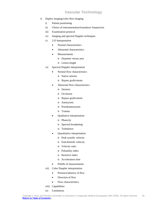- b. Duplex imaging/color flow imaging
	- i) Patient positioning
	- ii) Choice of instrumentation/transducer frequencies
	- iii) Examination protocol
	- iv) Imaging and spectral Doppler techniques
	- v) 2-D Interpretation
		- Normal characteristics
		- Abnormal characteristics
		- **Measurements** 
			- o Diameter versus area
			- o Lesion length
	- vi) Spectral Doppler interpretation
		- Normal flow characteristics
			- o Native arteries
			- o Bypass grafts/stents
		- Abnormal flow characteristics
			- o Stenosis
			- o Occlusion
			- o Bypass grafts/stents
			- o Aneurysms
			- o Pseudoaneurysms
			- o Trauma
		- Qualitative interpretation
			- o Phasicity
			- o Spectral broadening
			- o Turbulence
		- Quantitative interpretation
			- o Peak systolic velocity
			- o End-diastolic velocity
			- o Velocity ratio
			- o Pulsatility index
			- o Resistive index
			- o Acceleration time
		- Pitfalls of measurements
	- vii) Color Doppler interpretation
		- Presence/absence of flow
		- Direction of flow
		- Flow characteristics
	- viii) Capabilities
	- ix) Limitations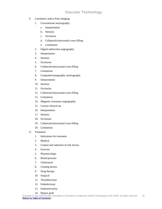- F. Correlative and/or Prior Imaging
	- 1. Conventional arteriography
		- a. Interpretation
		- b. Stenosis
		- c. Occlusion
		- d. Collaterals/intracranial cross-filling
		- e. Limitations
	- 2. Digital subtraction angiography
	- 3. Interpretation
	- 4. Stenosis
	- 5. Occlusion
	- 6. Collaterals/intracranial cross-filling
	- 7. Limitations
	- 8. Computed tomographic arteriography
	- 9. Interpretation
	- 10. Stenosis
	- 11. Occlusion
	- 12. Collaterals/intracranial cross-filling
	- 13. Limitations
	- 14. Magnetic resonance angiography
	- 15. Current clinical use
	- 16. Interpretation
	- 17. Stenosis
	- 18. Occlusion
	- 19. Collaterals/intracranial cross-filling
	- 20. Limitations
- G. Treatment
	- 1. Indications for treatment
	- 2. Medical
	- 3. Control and reduction of risk factors
	- 4. Exercise
	- 5. Pharmacologic
	- 6. Blood pressure
	- 7. Cholesterol
	- 8. Clotting factors
	- 9. Drug therapy
	- 10. Surgical
	- 11. Thrombectomy
	- 12. Embolectomy
	- 13. Endarterectomy
	- 14. Bypass graft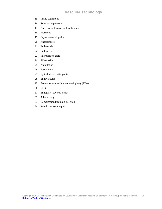- 15. In situ saphenous
- 16. Reversed saphenous
- 17. Non-reversed transposed saphenous
- 18. Prosthetic
- 19. Cryo-preserved grafts
- 20. Anastomoses
- 21. End-to-side
- 22. End-to-end
- 23. Interposition graft
- 24. Side-to-side
- 25. Amputation
- 26. Fasciotomy
- 27. Split-thickness skin grafts
- 28. Endovascular
- 29. Percutaneous transluminal angioplasty (PTA)
- 30. Stent
- 31. Endograft (covered stent)
- 32. Atherectomy
- 33. Compression/thrombin injection
- 34. Pseudoaneurysm repair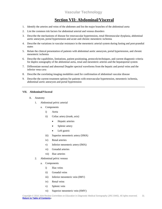### **Section VII: Abdominal/Visceral**

- <span id="page-30-0"></span>1. Identify the arteries and veins of the abdomen and list the major branches of the abdominal aorta
- 2. List the common risk factors for abdominal arterial and venous disorders
- 3. Describe the mechanisms of disease for renovascular hypertension, renal fibromuscular dysplasia, abdominal aortic aneurysm, portal hypertension and acute and chronic mesenteric ischemia
- 4. Describe the variations in vascular resistance in the mesenteric arterial system during fasting and post-prandial states
- 5. Relate the clinical presentation of patients with abdominal aortic aneurysm, portal hypertension, and chronic mesenteric ischemia
- 6. Describe the capabilities, limitations, patient positioning, protocols/techniques, and current diagnostic criteria for duplex sonography of the abdominal aorta, renal and mesenteric arteries and the hepatoportal system
- 7. Differentiate normal and abnormal Doppler spectral waveforms from the hepatic and portal veins and the inferior vena cava
- 8. Describe the correlating imaging modalities used for confirmation of abdominal vascular disease
- 9. Describe the current treatment options for patients with renovascular hypertension, mesenteric ischemia, abdominal aortic aneurysm and portal hypertension

#### **VII. Abdominal/Visceral**

- A. Anatomy
	- 1. Abdominal pelvic arterial
		- a. Components
			- i) Aorta
			- ii) Celiac artery (trunk, axis)
				- Hepatic arteries
				- Splenic artery
				- Left gastric
			- iii) Superior mesenteric artery (SMA)
			- iv) Renal arteries
			- v) Inferior mesenteric artery (IMA)
			- vi) Gonadal arteries
			- vii) Iliac arteries
	- 2. Abdominal pelvic venous
		- a. Components
			- i) Iliac veins
			- ii) Gonadal veins
			- iii) Inferior mesenteric vein (IMV)
			- iv) Renal veins
			- v) Splenic vein
			- vi) Superior mesenteric vein (SMV)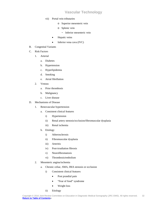- vii) Portal vein tributaries
	- o Superior mesenteric vein
	- o Splenic vein
		- ~ Inferior mesenteric vein
	- Hepatic veins
	- Inferior vena cava (IVC)
- B. Congenital Variants
- C. Risk Factors
	- 1. Arterial
		- a. Diabetes
		- b. Hypertension
		- c. Hyperlipidemia
		- d. Smoking
		- e. Atrial fibrillation
	- 2. Venous
		- a. Prior thrombosis
		- b. Malignancy
		- c. Liver disease
- D. Mechanisms of Disease
	- 1. Renovascular hypertension
		- a. Consistent clinical features
			- i) Hypertension
			- ii) Renal artery stenosis/occlusion/fibromuscular dysplasia
			- iii) Renal ischemia
		- b. Etiology
			- i) Atherosclerosis
			- ii) Fibromuscular dysplasia
			- iii) Arteritis
			- iv) Post-irradiation fibrosis
			- v) Neurofibromatosis
			- vi) Thrombosis/embolism
	- 2. Mesenteric angina/ischemia
		- a. Chronic celiac, SMA, IMA stenosis or occlusion
			- i) Consistent clinical features
				- Post prandial pain
				- "Fear of food" syndrome
				- Weight loss
			- ii) Etiology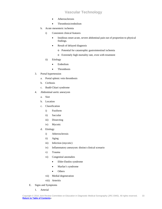- **Atherosclerosis**
- Thrombosis/embolism
- b. Acute mesenteric ischemia
	- i) Consistent clinical features
		- Insidious onset acute, severe abdominal pain out of proportion to physical findings.
		- Result of delayed diagnosis
			- o Potential for catastrophic gastrointestinal ischemia
			- o Extremely high mortality rate, even with treatment
	- ii) Etiology
		- Embolism
		- Thrombosis
- 3. Portal hypertension
	- a. Portal splenic vein thrombosis
	- b. Cirrhosis
	- c. Budd-Chiari syndrome
- 4. Abdominal aortic aneurysm
	- a. Size
	- b. Location
	- c. Classification
		- i) Fusiform
		- ii) Saccular
		- iii) Dissecting
		- iv) Mycotic
	- d. Etiology
		- i) Atherosclerosis
		- ii) Aging
		- iii) Infection (mycotic)
		- iv) Inflammatory aneurysm: distinct clinical scenario
		- v) Trauma
		- vi) Congenital anomalies
			- Ehler-Danlos syndrome
			- Marfan's syndrome
			- Others
		- vii) Medial degeneration
		- viii) Arteritis
- E. Signs and Symptoms
	- 1. Arterial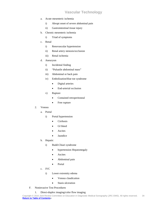- a. Acute mesenteric ischemia
	- i) Abrupt onset of severe abdominal pain
	- ii) Gastrointestinal tissue injury
- b. Chronic mesenteric ischemia
	- i) Triad of symptoms
- c. Renal
	- i) Renovascular hypertension
	- ii) Renal artery stenosis/occlusion
	- iii) Renal ischemia
- d. Aneurysm
	- i) Incidental finding
	- ii) "Pulsatile abdominal mass"
	- iii) Abdominal or back pain
	- iv) Embolization/blue toe syndrome
		- Digital arteries
		- End-arterial occlusion
	- v) Rupture
		- Contained retroperitoneal
		- Free rupture
- 2. Venous
	- a. Portal
		- i) Portal hypertension
			- **Cirrhosis**
			- GI bleed
			- **Ascites**
			- Jaundice
	- b. Hepatic
		- i) Budd-Chiari syndrome
			- hypertension Hepatomegaly
			- **Ascites**
			- Abdominal pain
			- Portal
	- c. IVC
		- i) Lower extremity edema
			- Venous claudication
			- Stasis ulceration
- F. Noninvasive Test Procedures
	- 1. Direct-duplex imaging/color flow imaging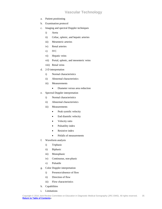- a. Patient positioning
- b. Examination protocol
- c. Imaging and spectral Doppler techniques
	- i) Aorta
	- ii) Celiac, splenic, and hepatic arteries
	- iii) Mesenteric arteries
	- iv) Renal arteries
	- v) IVC
	- vi) Hepatic veins
	- vii) Portal, splenic, and mesenteric veins
	- viii) Renal veins
- d. 2-D interpretation
	- i) Normal characteristics
	- ii) Abnormal characteristics
	- iii) Measurements
		- Diameter versus area reduction
- e. Spectral Doppler interpretation
	- i) Normal characteristics
	- ii) Abnormal characteristics
	- iii) Measurements
		- Peak systolic velocity
		- End diastolic velocity
		- Velocity ratio
		- Pulsatility index
		- Resistive index
		- Pitfalls of measurements
- f. Waveform analysis
	- i) Triphasic
	- ii) Biphasic
	- iii) Monophasic
	- iv) Continuous, non-phasic
	- v) Pulsatile
- g. Color Doppler interpretation
	- i) Presence/absence of flow
	- ii) Direction of flow
	- iii) Flow characteristics
- h. Capabilities
- i. Limitations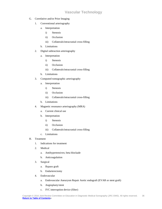- G. Correlative and/or Prior Imaging
	- 1. Conventional arteriography
		- a. Interpretation
			- i) Stenosis
			- ii) Occlusion
			- iii) Collaterals/intracranial cross-filling
		- b. Limitations
	- 2. Digital subtraction arteriography
		- a. Interpretation
			- i) Stenosis
			- ii) Occlusion
			- iii) Collaterals/intracranial cross-filling
		- b. Limitations
	- 3. Computed tomographic arteriography
		- a. Interpretation
			- i) Stenosis
			- ii) Occlusion
			- iii) Collaterals/intracranial cross-filling
		- b. Limitations
	- 4. Magnetic resonance arteriography (MRA)
		- a. Current clinical use
		- b. Interpretation
			- i) Stenosis
			- ii) Occlusion
			- iii) Collaterals/intracranial cross-filling
		- c. Limitations
- H. Treatment
	- 1. Indications for treatment
	- 2. Medical
		- a. Antihypertensives; beta blockade
		- b. Anticoagulation
	- 3. Surgical
		- a. Bypass graft
		- b. Endarterectomy
	- 4. Endovascular
		- a. Endovascular Aneurysm Repair Aortic endograft (EVAR or stent graft)
		- b. Angioplasty/stent
		- c. IVC interruption device (filter)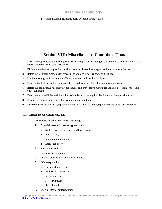d. Transjugular intrahepatic porto-systemic shunt (TIPS)

### **Section VIII: Miscellaneous Conditions/Tests**

- <span id="page-36-0"></span>1. Describe the protocols and techniques used for preoperative mapping of the extremity veins, and the radial, internal mammary and epigastric arteries
- 2. Differentiate the anatomy and blood flow patterns of pseudoaneurysms and arteriovenous fistulae
- 3. Relate the technical protocols for assessment of dialysis access grafts and fistulae
- 4. Detail the sonographic evaluation of liver, pancreas, and renal transplants
- 5. Describe the tests procedures and modalities used for evaluation of vasculogenic impotence
- 6. Relate the noninvasive vascular test procedures and provocative maneuvers used for detection of thoracic outlet syndrome
- 7. Describe the capabilities and limitations of duplex sonography for identification of temporal arteritis
- 8. Define the test procedures used for evaluation of arterial injury
- 9. Differentiate the signs and symptoms of congenital and acquired lymphedema and deep vein thrombosis

#### **VIII. Miscellaneous Conditions/Tests**

- A. Preoperative Venous and Arterial Mapping
	- 1. Potential vessels for use as bypass conduits
		- a. Saphenous veins, cephalic and basilic veins
		- b. Radial artery
		- c. Internal mammary artery
		- d. Epigastric artery
	- 2. Patient positioning
	- 3. Examination protocols
	- 4. Imaging and spectral Doppler techniques
	- 5. 2-D interpretation
		- a. Normal characteristics
		- b. Abnormal characteristics
		- c. Measurements
			- i) Diameter
			- ii) Length
	- 6. Spectral Doppler interpretation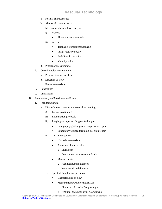- a. Normal characteristics
- b. Abnormal characteristics
- c. Measurements/waveform analysis
	- i) Venous
		- Phasic versus non-phasic
	- ii) Arterial
		- Triphasic/biphasic/monophasic
		- Peak systolic velocity
		- End-diastolic velocity
		- Velocity ratios
- d. Pitfalls of measurements
- 7. Color Doppler interpretation
	- a. Presence/absence of flow
	- b. Direction of flow
	- c. Flow characteristics
- 8. Capabilities
- 9. Limitations
- B. Pseudoaneurysm/Arteriovenous Fistula
	- 1. Pseudoaneurysm
		- a. Direct-duplex scanning and color flow imaging
			- i) Patient positioning
			- ii) Examination protocols
			- iii) Imaging and spectral Doppler techniques
				- Sonography-guided probe compression repair
				- Sonography-guided thrombin injection repair
			- iv) 2-D interpretation
				- Normal characteristics
				- Abnormal characteristics
					- o Multilobar
					- o Concomitant arteriovenous fistula
				- **Measurements** 
					- o Pseudoaneurysm diameter
					- o Neck length and diameter
			- v) Spectral Doppler interpretation
				- Characteristics of flow
				- Measurements/waveform analysis
					- o Characteristic to-fro Doppler signal
					- o Proximal and distal atrial flow signals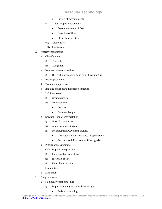- Pitfalls of measurements
- vi) Color Doppler interpretation
	- Presence/absence of flow
	- Direction of flow
	- Flow characteristics
- vii) Capabilities
- viii) Limitations
- 2. Arteriovenous fistula
	- a. Classification
		- i) Traumatic
		- ii) Congenital
	- b. Noninvasive test procedure
		- i) Direct-duplex scanning and color flow imaging
	- c. Patient positioning
	- d. Examination protocols
	- e. Imaging and spectral Doppler techniques
	- f. 2-D interpretation
		- i) Characteristics
		- ii) Measurements
			- Location
			- Diameter/length
	- g. Spectral Doppler interpretation
		- i) Normal characteristics
		- ii) Abnormal characteristics
		- iii) Measurements/waveform analysis
			- Characteristic low resistance Doppler signal
			- Proximal and distal venous flow signals
	- h. Pitfalls of measurements
	- i. Color Doppler interpretation
		- i) Presence/absence of flow
		- ii) Direction of flow
		- iii) Flow characteristics
	- j. Capabilities
	- k. Limitations
- 3. Dialysis access
	- a. Noninvasive test procedure
		- i) Duplex scanning and color flow imaging
			- Patient positioning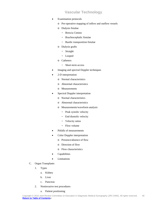- **Examination protocols** 
	- o Pre-operative mapping of inflow and outflow vessels
	- o Dialysis fistulae
		- ~ Brescia Cimino
		- ~ Brachiocephalic fistulae
		- ~ Basilic transposition fistulae
	- o Dialysis grafts
		- ~ Straight
		- ~ Looped
	- o Catheters
		- ~ Short-term access
- Imaging and spectral Doppler techniques
- 2-D interpretation
	- o Normal characteristics
	- o Abnormal characteristics
	- o Measurements
- Spectral Doppler interpretation
	- o Normal characteristics
	- o Abnormal characteristics
	- o Measurements/waveform analysis
		- ~ Peak systolic velocity
		- ~ End diastolic velocity
		- ~ Velocity ratios
		- $\sim$  Flow volume
- Pitfalls of measurements
- Color Doppler interpretation
	- o Presence/absence of flow
	- o Direction of flow
	- o Flow characteristics
- Capabilities
- Limitations
- C. Organ Transplants
	- 1. Types
		- a. Kidney
		- b. Liver
		- c. Pancreas
	- 2. Noninvasive test procedures
		- a. Patient positioning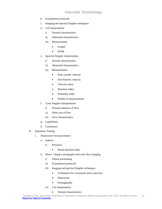- b. Examination protocols
- c. Imaging and spectral Doppler techniques
- d. 2-D interpretation
	- i) Normal characteristics
	- ii) Abnormal characteristics
	- iii) Measurements
		- Length
		- Width
- e. Spectral Doppler interpretation
	- i) Normal characteristics
	- ii) Abnormal characteristics
	- iii) Measurements
		- Peak systolic velocity
		- End diastolic velocity
		- Velocity ratios
		- Resistive index
		- Pulsatility index
		- Pitfalls of measurements
- f. Color Doppler interpretation
	- i) Presence/absence of flow
	- ii) Direct.ion of flow
	- iii) Flow characteristics
- g. Capabilities
- h. Limitations
- D. Impotence Testing
	- 1. Noninvasive test procedures
		- a. Indirect
			- i) Pressures
				- Penile-brachial index
		- b. Direct Duplex sonography and color flow imaging
			- i) Patient positioning
			- ii) Examination protocols
			- iii) Imaging and spectral Doppler techniques
				- Techniques for cavernosal artery injection
				- Papaverine
				- Prostaglandin
			- iv) 2-D interpretation
				- Normal characteristics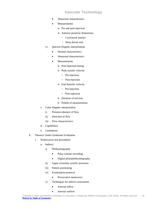- Abnormal characteristics
- **Measurements** 
	- o Pre and post-injection
	- o Anterior-posterior dimensions
		- ~ Cavernosal arteries
		- ~ Deep dorsal vein
- v) Spectral Doppler interpretation
	- Normal characteristics
	- Abnormal characteristics
	- **Measurements** 
		- o Post-injection timing
		- o Peak systolic velocity
			- $\sim$  Pre-injection
			- ~ Post-injection
		- o End diastolic velocity
			- $\sim$  Pre-injection
			- ~ Post-injection
		- o Duration of erection
		- o Pitfalls of measurements
- c. Color Doppler interpretation
	- i) Presence/absence of flow
	- ii) Direction of flow
	- iii) Flow characteristics
- d. Capabilities
- e. Limitations
- E. Thoracic Outlet Syndrome Evaluation
	- 1. Noninvasive test procedures
		- a. Indirect
			- i) Plethysmography
				- Pulse volume recording
				- Digital photoplethysmography
			- ii) Upper extremity systolic pressures
			- iii) Patient positioning
			- iv) Examination protocol
				- Provocative maneuvers
			- v) Techniques for indirect assessment
				- Arterial inflow
				- Arterial outflow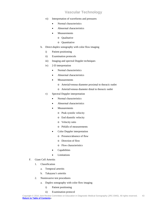- vi) Interpretation of waveforms and pressures
	- Normal characteristics
	- Abnormal characteristics
	- **Measurements** 
		- o Qualitative
		- o Quantitative
- b. Direct-duplex sonography with color flow imaging
	- i) Patient positioning
	- ii) Examination protocols
	- iii) Imaging and spectral Doppler techniques
	- iv) 2-D interpretation
		- Normal characteristics
		- Abnormal characteristics
		- **Measurements** 
			- o Arterial/venous diameter proximal to thoracic outlet
			- o Arterial/venous diameter distal to thoracic outlet
	- v) Spectral Doppler interpretation
		- Normal characteristics
		- Abnormal characteristics
		- **Measurements** 
			- o Peak systolic velocity
			- o End diastolic velocity
			- o Velocity ratio
			- o Pitfalls of measurements
		- Color Doppler interpretation
			- o Presence/absence of flow
			- o Direction of flow
			- o Flow characteristics
		- **Capabilities**
		- **Limitations**
- F. Giant Cell Arteritis
	- 1. Classification
		- a. Temporal arteritis
		- b. Takayasu's arteritis
	- 2. Noninvasive test procedures
		- a. Duplex sonography with color flow imaging
			- i) Patient positioning
			- ii) Examination protocol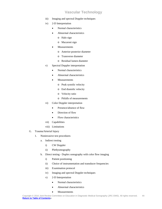- iii) Imaging and spectral Doppler techniques
- iv) 2-D Interpretation
	- Normal characteristics
	- Abnormal characteristics
		- o Halo sign
		- o Macaroni sign
	- **Measurements** 
		- o Anterior-posterior diameter
		- o Transverse diameter
		- o Residual lumen diameter
- v) Spectral Doppler interpretation
	- Normal characteristics
	- Abnormal characteristics
	- **Measurements** 
		- o Peak systolic velocity
		- o End diastolic velocity
		- o Velocity ratio
		- o Pitfalls of measurements
- vi) Color Doppler interpretation
	- Presence/absence of flow
	- Direction of flow
	- Flow characteristics
- vii) Capabilities
- viii) Limitations
- G. Trauma/Arterial Injury
	- 1. Noninvasive test procedures
		- a. Indirect testing
			- i) CW Doppler
			- ii) Plethysmography
		- b. Direct testing Duplex sonography with color flow imaging
			- i) Patient positioning
			- ii) Choice of instrumentation and transducer frequencies
			- iii) Examination protocol
			- iv) Imaging and spectral Doppler techniques
			- v) 2-D Interpretation
				- Normal characteristics
				- Abnormal characteristics
				- Measurements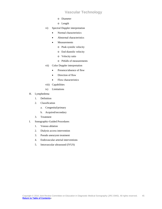- o Diameter
- o Length
- vi) Spectral Doppler interpretation
	- Normal characteristics
	- Abnormal characteristics
	- **Measurements** 
		- o Peak systolic velocity
		- o End diastolic velocity
		- o Velocity ratio
		- o Pitfalls of measurements
- vii) Color Doppler interpretation
	- Presence/absence of flow
	- Direction of flow
	- Flow characteristics
- viii) Capabilities
- ix) Limitations
- H. Lymphedema
	- 1. Definition
	- 2. Classification
		- a. Congenital/primary
		- b. Acquired/secondary
	- 3. Treatment
- I. Sonographic-Guided Procedures
	- 1. Venous ablation
	- 2. Dialysis access intervention
	- 3. Pseudo aneurysm treatment
	- 4. Endovascular arterial interventions
	- 5. Intravascular ultrasound (IVUS)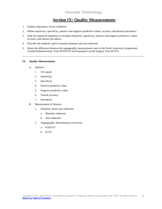# **Section IX: Quality Measurements**

- <span id="page-45-0"></span>1. Explain importance of test validation
- 2. Define sensitivity, specificity, positive and negative predictive values, accuracy and disease prevalence
- 3. State the statistical equations to calculate sensitivity, specificity, positive and negative predictive values, accuracy and disease prevalence
- 4. Describe the methods used to measure diameter and area reduction
- 5. Relate the difference between the angiographic measurements used in the North American Symptomatic Carotid Endarterectomy Trial (NASCET) and European Carotid Surgery Trial (ECST)

#### **IX. Quality Measurements**

- A. Statistics
	- 1. Chi square
	- 2. Sensitivity
	- 3. Specificity
	- 4. Positive predictive value
	- 5. Negative predictive value
	- 6. Overall accuracy
	- 7. Prevalence
- B. Measurement of Stenosis
	- 1. Diameter versus area reduction
		- a. Diameter reduction
		- b. Area reduction
	- 2. Angiographic determination of severity
		- a. NASCET
		- b. ECST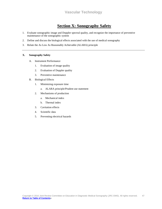# **Section X: Sonography Safety**

- <span id="page-46-0"></span>1. Evaluate sonographic image and Doppler spectral quality, and recognize the importance of preventive maintenance of the sonographic system
- 2. Define and discuss the biological effects associated with the use of medical sonography
- 3. Relate the As Low As Reasonably Achievable (ALARA) principle

#### **X. Sonography Safety**

- A. Instrument Performance
	- 1. Evaluation of image quality
	- 2. Evaluation of Doppler quality
	- 3. Preventive maintenance
- B. Biological Effects
	- 1. Minimizing exposure time
		- a. ALARA principle/Prudent use statement
	- 2. Mechanisms of production
		- a. Mechanical index
		- b. Thermal index
	- 3. Cavitation effects
	- 4. Scientific data
	- 5. Preventing electrical hazards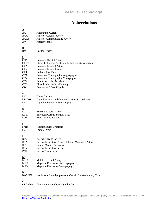# **Abbreviations**

<span id="page-47-0"></span>

| <u>A</u><br>AC<br><b>ACA</b><br><b>ACoA</b><br>AV                                                                                                                   | <b>Alternating Current</b><br>Anterior Cerebral Artery<br><b>Anterior Communicating Artery</b><br>Arteriovenous                                                                                                                                                                                                         |
|---------------------------------------------------------------------------------------------------------------------------------------------------------------------|-------------------------------------------------------------------------------------------------------------------------------------------------------------------------------------------------------------------------------------------------------------------------------------------------------------------------|
| $\overline{\mathbf{B}}$<br><b>Bas</b>                                                                                                                               | <b>Basilar Artery</b>                                                                                                                                                                                                                                                                                                   |
| $\overline{\mathbf{C}}$<br><b>CCA</b><br><b>CEAP</b><br><b>CFA</b><br><b>CFV</b><br><b>CRT</b><br><b>CTA</b><br><b>CTV</b><br><b>CVA</b><br><b>CVI</b><br><b>CW</b> | Common Carotid Artery<br>Clinical Etiologic Anatomic Pathologic Classification<br><b>Common Femoral Artery</b><br>Common Femoral Vein<br>Cathode Ray Tube<br>Computed Tomographic Angiography<br>Computed Tomographic Venography<br>Cerebrovascular Accident<br>Chronic Venous Insufficiency<br>Continuous Wave Doppler |
| $\overline{\mathbf{D}}$<br>DC<br><b>DICOM</b><br><b>DSA</b>                                                                                                         | <b>Direct Current</b><br>Digital Imaging and Communications in Medicine<br><b>Digital Subtraction Angiography</b>                                                                                                                                                                                                       |
| $\overline{\mathbf{E}}$<br><b>ECA</b><br><b>ECST</b><br><b>EDV</b>                                                                                                  | <b>External Carotid Artery</b><br>European Carotid Surgery Trial<br><b>End-Diastolic Velocity</b>                                                                                                                                                                                                                       |
| F<br><b>FMD</b><br>FV                                                                                                                                               | Fibromuscular Dysplasia<br>Femoral Vein                                                                                                                                                                                                                                                                                 |
| 1<br><b>ICA</b><br>IMA<br><b>IMT</b><br><b>IMV</b><br><b>IVC</b>                                                                                                    | <b>Internal Carotid Artery</b><br>Inferior Mesenteric Artery; Internal Mammary Artery<br><b>Intimal Medial Thickness</b><br>Inferior Mesenteric Vein<br>Inferior Vena Cava                                                                                                                                              |
| <u>M</u><br><b>MCA</b><br><b>MRA</b><br><b>MRV</b>                                                                                                                  | Middle Cerebral Artery<br>Magnetic Resonance Arteriography<br>Magnetic Resonance Venography                                                                                                                                                                                                                             |
| N<br><b>NASCET</b>                                                                                                                                                  | North American Symptomatic Carotid Endarterectomy Trial                                                                                                                                                                                                                                                                 |
| О<br>OPG-Gee                                                                                                                                                        | Oculopneumoplethysmography-Gee                                                                                                                                                                                                                                                                                          |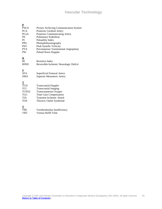| P                             |                                        |
|-------------------------------|----------------------------------------|
| <b>PACS</b>                   | Picture Archiving Communication System |
| <b>PCA</b>                    | Posterior Cerebral Artery              |
| PC <sub>O</sub> A             | Posterior Communicating Artery         |
| PE                            | <b>Pulmonary Embolism</b>              |
| PI                            | <b>Pulsatility Index</b>               |
| <b>PPG</b>                    | Photoplethysmography                   |
| <b>PSV</b>                    | Peak Systolic Velocity                 |
| <b>PTA</b>                    | Percutaneous Transluminal Angioplasty  |
| PW                            | <b>Pulsed Wave Doppler</b>             |
|                               |                                        |
| ${\bf \underline{R}}$         |                                        |
| RI                            | Resistive Index                        |
| <b>RIND</b>                   | Reversible Ischemic Neurologic Deficit |
|                               |                                        |
| $\frac{\text{S}}{\text{SFA}}$ |                                        |
|                               | Superficial Femoral Artery             |
| <b>SMA</b>                    | <b>Superior Mesenteric Artery</b>      |
|                               |                                        |
| $rac{\text{T}}{\text{TCD}}$   |                                        |
|                               | <b>Transcranial Doppler</b>            |
| TCI                           | <b>Transcranial Imaging</b>            |
| TCPO <sub>2</sub>             | Transcutaneous Oxygen                  |
| <b>TGC</b>                    | Time Gain Compensation                 |
| <b>TIA</b>                    | <b>Transient Ischemic Attack</b>       |
| <b>TOS</b>                    | Thoracic Outlet Syndrome               |
|                               |                                        |
| V                             |                                        |
| <b>VBI</b>                    | Vertebrobasilar Insufficiency          |
| <b>VRT</b>                    | Venous Refill Time                     |